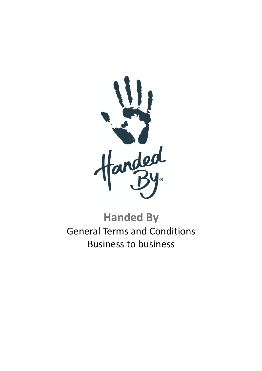

# **Handed By** General Terms and Conditions Business to business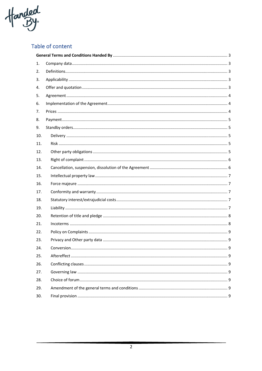

## Table of content

| 1.  |  |
|-----|--|
| 2.  |  |
| 3.  |  |
| 4.  |  |
| 5.  |  |
| 6.  |  |
| 7.  |  |
| 8.  |  |
| 9.  |  |
| 10. |  |
| 11. |  |
| 12. |  |
| 13. |  |
| 14. |  |
| 15. |  |
| 16. |  |
| 17. |  |
| 18. |  |
| 19. |  |
| 20. |  |
| 21. |  |
| 22. |  |
| 23. |  |
| 24. |  |
| 25. |  |
| 26. |  |
| 27. |  |
| 28. |  |
| 29. |  |
| 30. |  |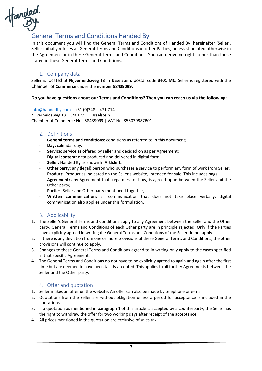

# General Terms and Conditions Handed By

In this document you will find the General Terms and Conditions of Handed By, hereinafter 'Seller'. Seller initially refuses all General Terms and Conditions of other Parties, unless stipulated otherwise in the Agreement or in these General Terms and Conditions. You can derive no rights other than those stated in these General Terms and Conditions.

## 1. Company data

Seller is located at **Nijverheidsweg 13** in **IJsselstein**, postal code **3401 MC.** Seller is registered with the Chamber of **Commerce** under the **number 58439099.**

#### **Do you have questions about our Terms and Conditions? Then you can reach us via the following:**

info@handedby.com | +31 (0)348 – 471 714 Nijverheidsweg 13 | 3401 MC | IJsselstein Chamber of Commerce No. 58439099 | VAT No. 853039987B01

## 2. Definitions

- **General terms and conditions:** conditions as referred to in this document:
- **Day:** calendar day;
- **Service:** service as offered by seller and decided on as per Agreement;
- **Digital content:** data produced and delivered in digital form;
- **Seller:** Handed By as shown in **Article 1**;
- **Other party:** any (legal) person who purchases a service to perform any form of work from Seller;
- Product: Product as indicated on the Seller's website, intended for sale. This includes bags;
- Agreement: any Agreement that, regardless of how, is agreed upon between the Seller and the Other party;
- **Parties:** Seller and Other party mentioned together;
- **Written communication:** all communication that does not take place verbally, digital communication also applies under this formulation.

## 3. Applicability

- 1. The Seller's General Terms and Conditions apply to any Agreement between the Seller and the Other party. General Terms and Conditions of each Other party are in principle rejected. Only if the Parties have explicitly agreed in writing the General Terms and Conditions of the Seller do not apply.
- 2. If there is any deviation from one or more provisions of these General Terms and Conditions, the other provisions will continue to apply.
- 3. Changes to these General Terms and Conditions agreed to in writing only apply to the cases specified in that specific Agreement.
- 4. The General Terms and Conditions do not have to be explicitly agreed to again and again after the first time but are deemed to have been tacitly accepted. This applies to all further Agreements between the Seller and the Other party.

## 4. Offer and quotation

- 1. Seller makes an offer on the website. An offer can also be made by telephone or e-mail.
- 2. Quotations from the Seller are without obligation unless a period for acceptance is included in the quotations.
- 3. If a quotation as mentioned in paragraph 1 of this article is accepted by a counterparty, the Seller has the right to withdraw the offer for two working days after receipt of the acceptance.
- 4. All prices mentioned in the quotation are exclusive of sales tax.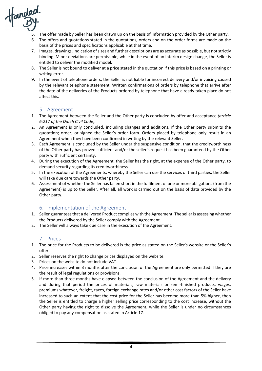

- The offer made by Seller has been drawn up on the basis of information provided by the Other party.
- 6. The offers and quotations stated in the quotations, orders and on the order forms are made on the basis of the prices and specifications applicable at that time.
- 7. Images, drawings, indication of sizes and further descriptions are as accurate as possible, but not strictly binding. Minor deviations are permissible, while in the event of an interim design change, the Seller is entitled to deliver the modified model.
- 8. The Seller is not bound to deliver at a price stated in the quotation if this price is based on a printing or writing error.
- 9. In the event of telephone orders, the Seller is not liable for incorrect delivery and/or invoicing caused by the relevant telephone statement. Written confirmations of orders by telephone that arrive after the date of the deliveries of the Products ordered by telephone that have already taken place do not affect this.

## 5. Agreement

- 1. The Agreement between the Seller and the Other party is concluded by offer and acceptance *(article 6:217 of the Dutch Civil Code).*
- 2. An Agreement is only concluded, including changes and additions, if the Other party submits the quotation; order; or signed the Seller's order form. Orders placed by telephone only result in an Agreement when they have been confirmed in writing by the relevant Seller.
- 3. Each Agreement is concluded by the Seller under the suspensive condition, that the creditworthiness of the Other party has proved sufficient and/or the seller's request has been guaranteed by the Other party with sufficient certainty.
- 4. During the execution of the Agreement, the Seller has the right, at the expense of the Other party, to demand security regarding its creditworthiness.
- 5. In the execution of the Agreements, whereby the Seller can use the services of third parties, the Seller will take due care towards the Other party.
- 6. Assessment of whether the Seller has fallen short in the fulfilment of one or more obligations (from the Agreement) is up to the Seller. After all, all work is carried out on the basis of data provided by the Other party.

## 6. Implementation of the Agreement

- 1. Seller guarantees that a delivered Product complies with the Agreement. The seller is assessing whether the Products delivered by the Seller comply with the Agreement.
- 2. The Seller will always take due care in the execution of the Agreement.

## 7. Prices

- 1. The price for the Products to be delivered is the price as stated on the Seller's website or the Seller's offer.
- 2. Seller reserves the right to change prices displayed on the website.
- 3. Prices on the website do not include VAT.
- 4. Price increases within 3 months after the conclusion of the Agreement are only permitted if they are the result of legal regulations or provisions.
- 5. If more than three months have elapsed between the conclusion of the Agreement and the delivery and during that period the prices of materials, raw materials or semi-finished products, wages, premiums whatever, freight, taxes, foreign exchange rates and/or other cost factors of the Seller have increased to such an extent that the cost price for the Seller has become more than 5% higher, then the Seller is entitled to charge a higher selling price corresponding to the cost increase, without the Other party having the right to dissolve the Agreement, while the Seller is under no circumstances obliged to pay any compensation as stated in Article 17.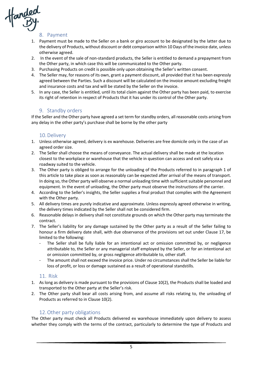

## 8. Payment

- 1. Payment must be made to the Seller on a bank or giro account to be designated by the latter due to the delivery of Products, without discount or debt comparison within 10 Days of the invoice date, unless otherwise agreed.
- 2. In the event of the sale of non-standard products, the Seller is entitled to demand a prepayment from the Other party, in which case this will be communicated to the Other party.
- 3. Purchasing Products on credit is possible only upon obtaining the Seller's written consent.
- 4. The Seller may, for reasons of its own, grant a payment discount, all provided that it has been expressly agreed between the Parties. Such a discount will be calculated on the invoice amount excluding freight and insurance costs and tax and will be stated by the Seller on the invoice.
- 5. In any case, the Seller is entitled, until its total claim against the Other party has been paid, to exercise its right of retention in respect of Products that it has under its control of the Other party.

## 9. Standby orders

If the Seller and the Other party have agreed a set term for standby orders, all reasonable costs arising from any delay in the other party's purchase shall be borne by the other party

## 10.Delivery

- 1. Unless otherwise agreed, delivery is ex warehouse. Deliveries are free domicile only in the case of an agreed order size.
- 2. The Seller shall choose the means of conveyance. The actual delivery shall be made at the location closest to the workplace or warehouse that the vehicle in question can access and exit safely via a roadway suited to the vehicle.
- 3. The Other party is obliged to arrange for the unloading of the Products referred to in paragraph 1 of this article to take place as soon as reasonably can be expected after arrival of the means of transport. In doing so, the Other party will observe a normal unloading time with sufficient suitable personnel and equipment. In the event of unloading, the Other party must observe the instructions of the carrier.
- 4. According to the Seller's insights, the Seller supplies a final product that complies with the Agreement with the Other party.
- 5. All delivery times are purely indicative and approximate. Unless expressly agreed otherwise in writing, the delivery times indicated by the Seller shall not be considered firm.
- 6. Reasonable delays in delivery shall not constitute grounds on which the Other party may terminate the contract.
- 7. The Seller's liability for any damage sustained by the Other party as a result of the Seller failing to honour a firm delivery date shall, with due observance of the provisions set out under Clause 17, be limited to the following:
	- The Seller shall be fully liable for an intentional act or omission committed by, or negligence attributable to, the Seller or any managerial staff employed by the Seller, or for an intentional act or omission committed by, or gross negligence attributable to, other staff.
	- The amount shall not exceed the invoice price. Under no circumstances shall the Seller be liable for loss of profit, or loss or damage sustained as a result of operational standstills.

## 11. Risk

- 1. As long as delivery is made pursuant to the provisions of Clause 10(2), the Products shall be loaded and transported to the Other party at the Seller's risk.
- 2. The Other party shall bear all costs arising from, and assume all risks relating to, the unloading of Products as referred to in Clause 10(2).

## 12.Other party obligations

The Other party must check all Products delivered ex warehouse immediately upon delivery to assess whether they comply with the terms of the contract, particularly to determine the type of Products and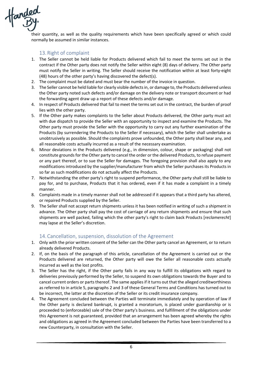

their quantity, as well as the quality requirements which have been specifically agreed or which could normally be assumed in similar instances.

## 13.Right of complaint

- 1. The Seller cannot be held liable for Products delivered which fail to meet the terms set out in the contract if the Other party does not notify the Seller within eight (8) days of delivery. The Other party must notify the Seller in writing. The Seller should receive the notification within at least forty-eight (48) hours of the other party's having discovered the defect(s).
- 2. The complaint must be dated and must bear the number of the invoice in question.
- 3. The Seller cannot be held liable for clearly visible defects in, or damage to, the Products delivered unless the Other party noted such defects and/or damage on the delivery note or transport document or had the forwarding agent draw up a report of these defects and/or damage.
- 4. In respect of Products delivered that fail to meet the terms set out in the contract, the burden of proof lies with the other party.
- 5. If the Other party makes complaints to the Seller about Products delivered, the Other party must act with due dispatch to provide the Seller with an opportunity to inspect and examine the Products. The Other party must provide the Seller with the opportunity to carry out any further examination of the Products (by surrendering the Products to the Seller if necessary), which the Seller shall undertake as unobtrusively as possible. Should the complaints prove unfounded, the Other party shall bear any, and all reasonable costs actually incurred as a result of the necessary examination.
- 6. Minor deviations in the Products delivered (e.g., in dimension, colour, shape or packaging) shall not constitute grounds for the Other party to cancel the order or the delivered Products, to refuse payment or any part thereof, or to sue the Seller for damages. The foregoing provision shall also apply to any modifications introduced by the supplier/manufacturer from which the Seller purchases its Products in so far as such modifications do not actually affect the Products.
- 7. Notwithstanding the other party's right to suspend performance, the Other party shall still be liable to pay for, and to purchase, Products that it has ordered, even if it has made a complaint in a timely manner.
- 8. Complaints made in a timely manner shall not be addressed if it appears that a third party has altered, or repaired Products supplied by the Seller.
- 9. The Seller shall not accept return shipments unless it has been notified in writing of such a shipment in advance. The Other party shall pay the cost of carriage of any return shipments and ensure that such shipments are well packed, failing which the other party's right to claim back Products [*reclamerecht*] may lapse at the Seller's discretion.

## 14.Cancellation, suspension, dissolution of the Agreement

- 1. Only with the prior written consent of the Seller can the Other party cancel an Agreement, or to return already delivered Products.
- 2. If, on the basis of the paragraph of this article, cancellation of the Agreement is carried out or the Products delivered are returned, the Other party will owe the Seller all reasonable costs actually incurred as well as the lost profits.
- 3. The Seller has the right, if the Other party fails in any way to fulfill its obligations with regard to deliveries previously performed by the Seller, to suspend its own obligations towards the Buyer and to cancel current orders or parts thereof. The same applies if it turns out that the alleged creditworthiness as referred to in article 5, paragraphs 2 and 3 of these General Terms and Conditions has turned out to be incorrect, the latter at the discretion of the Seller or its credit insurance company.
- 4. The Agreement concluded between the Parties will terminate immediately and by operation of law if the Other party is declared bankrupt, is granted a moratorium, is placed under guardianship or is proceeded to (enforceable) sale of the Other party's business. and fulfillment of the obligations under this Agreement is not guaranteed, provided that an arrangement has been agreed whereby the rights and obligations as agreed in the Agreement concluded between the Parties have been transferred to a new Counterparty, in consultation with the Seller.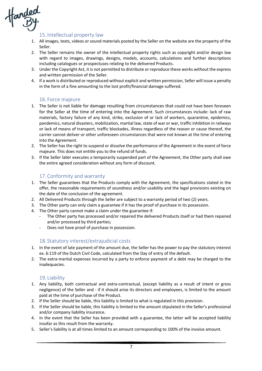

## 15. Intellectual property law

- 1. All images, texts, videos or sound materials posted by the Seller on the website are the property of the Seller.
- 2. The Seller remains the owner of the intellectual property rights such as copyright and/or design law with regard to images, drawings, designs, models, accounts, calculations and further descriptions including catalogues or prospectuses relating to the delivered Products.
- 3. Under the Copyright Act, it is not permitted to distribute or reproduce these works without the express and written permission of the Seller.
- 4. If a work is distributed or reproduced without explicit and written permission, Seller will issue a penalty in the form of a fine amounting to the lost profit/financial damage suffered.

## 16. Force majeure

- 1. The Seller is not liable for damage resulting from circumstances that could not have been foreseen for the Seller at the time of entering into the Agreement. Such circumstances include: lack of raw materials, factory failure of any kind, strike, exclusion of or lack of workers, quarantine, epidemics, pandemics, natural disasters, mobilization, martial law, state of war or war, traffic inhibition in railways or lack of means of transport, traffic blockades, illness regardless of the reason or cause thereof, the carrier cannot deliver or other unforeseen circumstances that were not known at the time of entering into the Agreement.
- 2. The Seller has the right to suspend or dissolve the performance of the Agreement in the event of force majeure. This does not entitle you to the refund of funds.
- 3. If the Seller later executes a temporarily suspended part of the Agreement, the Other party shall owe the entire agreed consideration without any form of discount.

## 17.Conformity and warranty

- 1. The Seller guarantees that the Products comply with the Agreement, the specifications stated in the offer, the reasonable requirements of soundness and/or usability and the legal provisions existing on the date of the conclusion of the agreement.
- 2. All Delivered Products through the Seller are subject to a warranty period of two (2) years.
- 3. The Other party can only claim a guarantee if it has the proof of purchase in its possession.
- 4. The Other party cannot make a claim under the guarantee if:
	- The Other party has processed and/or repaired the delivered Products itself or had them repaired and/or processed by third parties;
	- Does not have proof of purchase in possession.

#### 18. Statutory interest/extrajudicial costs

- 1. In the event of late payment of the amount due, the Seller has the power to pay the statutory interest ex. 6:119 of the Dutch Civil Code, calculated from the Day of entry of the default.
- 2. The extra-marital expenses incurred by a party to enforce payment of a debt may be charged to the inadequacies.

## 19. Liability

- 1. Any liability, both contractual and extra-contractual, (except liability as a result of intent or gross negligence) of the Seller and - if it should arise its directors and employees, is limited to the amount paid at the time of purchase of the Product.
- 2. If the Seller should be liable, this liability is limited to what is regulated in this provision.
- 3. If the Seller should be liable, this liability is limited to the amount stipulated in the Seller's professional and/or company liability insurance.
- 4. In the event that the Seller has been provided with a guarantee, the latter will be accepted liability insofar as this result from the warranty.
- 5. Seller's liability is at all times limited to an amount corresponding to 100% of the invoice amount.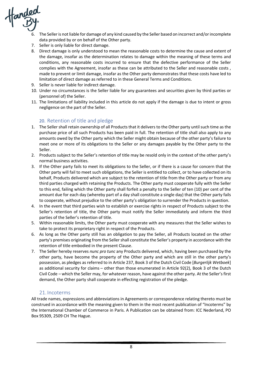

- The Seller is not liable for damage of any kind caused by the Seller based on incorrect and/or incomplete data provided by or on behalf of the Other party.
- 7. Seller is only liable for direct damage.
- 8. Direct damage is only understood to mean the reasonable costs to determine the cause and extent of the damage, insofar as the determination relates to damage within the meaning of these terms and conditions, any reasonable costs incurred to ensure that the defective performance of the Seller complies with the Agreement, insofar as these can be attributed to the Seller and reasonable costs , made to prevent or limit damage, insofar as the Other party demonstrates that these costs have led to limitation of direct damage as referred to in these General Terms and Conditions.
- 9. Seller is never liable for indirect damage.
- 10. Under no circumstances is the Seller liable for any guarantees and securities given by third parties or (personnel of) the Seller.
- 11. The limitations of liability included in this article do not apply if the damage is due to intent or gross negligence on the part of the Seller.

## 20. Retention of title and pledge

- 1. The Seller shall retain ownership of all Products that it delivers to the Other party until such time as the purchase price of all such Products has been paid in full. The retention of title shall also apply to any amounts owed by the Other party which the Seller might obtain because of the other party's failure to meet one or more of its obligations to the Seller or any damages payable by the Other party to the Seller.
- 2. Products subject to the Seller's retention of title may be resold only in the context of the other party's normal business activities.
- 3. If the Other party fails to meet its obligations to the Seller, or if there is a cause for concern that the Other party will fail to meet such obligations, the Seller is entitled to collect, or to have collected on its behalf, Products delivered which are subject to the retention of title from the Other party or from any third parties charged with retaining the Products. The Other party must cooperate fully with the Seller to this end, failing which the Other party shall forfeit a penalty to the Seller of ten (10) per cent of the amount due for each day (whereby part of a day shall constitute a single day) that the Other party fails to cooperate, without prejudice to the other party's obligation to surrender the Products in question.
- 4. In the event that third parties wish to establish or exercise rights in respect of Products subject to the Seller's retention of title, the Other party must notify the Seller immediately and inform the third parties of the Seller's retention of title.
- 5. Within reasonable limits, the Other party must cooperate with any measures that the Seller wishes to take to protect its proprietary right in respect of the Products.
- 6. As long as the Other party still has an obligation to pay the Seller, all Products located on the other party's premises originating from the Seller shall constitute the Seller's property in accordance with the retention of title embodied in the present Clause.
- 7. The Seller hereby reserves *nunc pro tunc* any Products delivered, which, having been purchased by the other party, have become the property of the Other party and which are still in the other party's possession, as pledges as referred to in Article 237, Book 3 of the Dutch Civil Code [*Burgerlijk Wetboek*] as additional security for claims – other than those enumerated in Article 92(2), Book 3 of the Dutch Civil Code – which the Seller may, for whatever reason, have against the other party. At the Seller's first demand, the Other party shall cooperate in effecting registration of the pledge.

## 21. Incoterms

All trade names, expressions and abbreviations in Agreements or correspondence relating thereto must be construed in accordance with the meaning given to them in the most recent publication of "Incoterms" by the International Chamber of Commerce in Paris. A Publication can be obtained from: ICC Nederland, PO Box 95309, 2509 CH The Hague.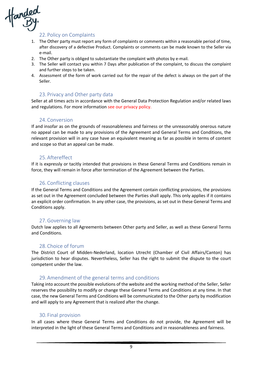

## 22. Policy on Complaints

- 1. The Other party must report any form of complaints or comments within a reasonable period of time, after discovery of a defective Product. Complaints or comments can be made known to the Seller via e-mail.
- 2. The Other party is obliged to substantiate the complaint with photos by e-mail.
- 3. The Seller will contact you within 7 Days after publication of the complaint, to discuss the complaint and further steps to be taken.
- 4. Assessment of the form of work carried out for the repair of the defect is always on the part of the Seller.

#### 23. Privacy and Other party data

Seller at all times acts in accordance with the General Data Protection Regulation and/or related laws and regulations. For more information see our privacy policy.

#### 24.Conversion

If and insofar as on the grounds of reasonableness and fairness or the unreasonably onerous nature no appeal can be made to any provisions of the Agreement and General Terms and Conditions, the relevant provision will in any case have an equivalent meaning as far as possible in terms of content and scope so that an appeal can be made.

## 25.Aftereffect

If it is expressly or tacitly intended that provisions in these General Terms and Conditions remain in force, they will remain in force after termination of the Agreement between the Parties.

#### 26.Conflicting clauses

If the General Terms and Conditions and the Agreement contain conflicting provisions, the provisions as set out in the Agreement concluded between the Parties shall apply. This only applies if it contains an explicit order confirmation. In any other case, the provisions, as set out in these General Terms and Conditions apply.

#### 27.Governing law

Dutch law applies to all Agreements between Other party and Seller, as well as these General Terms and Conditions.

## 28.Choice of forum

The District Court of Midden-Nederland, location Utrecht (Chamber of Civil Affairs/Canton) has jurisdiction to hear disputes. Nevertheless, Seller has the right to submit the dispute to the court competent under the law.

#### 29.Amendment of the general terms and conditions

Taking into account the possible evolutions of the website and the working method of the Seller, Seller reserves the possibility to modify or change these General Terms and Conditions at any time. In that case, the new General Terms and Conditions will be communicated to the Other party by modification and will apply to any Agreement that is realized after the change.

#### 30. Final provision

In all cases where these General Terms and Conditions do not provide, the Agreement will be interpreted in the light of these General Terms and Conditions and in reasonableness and fairness.